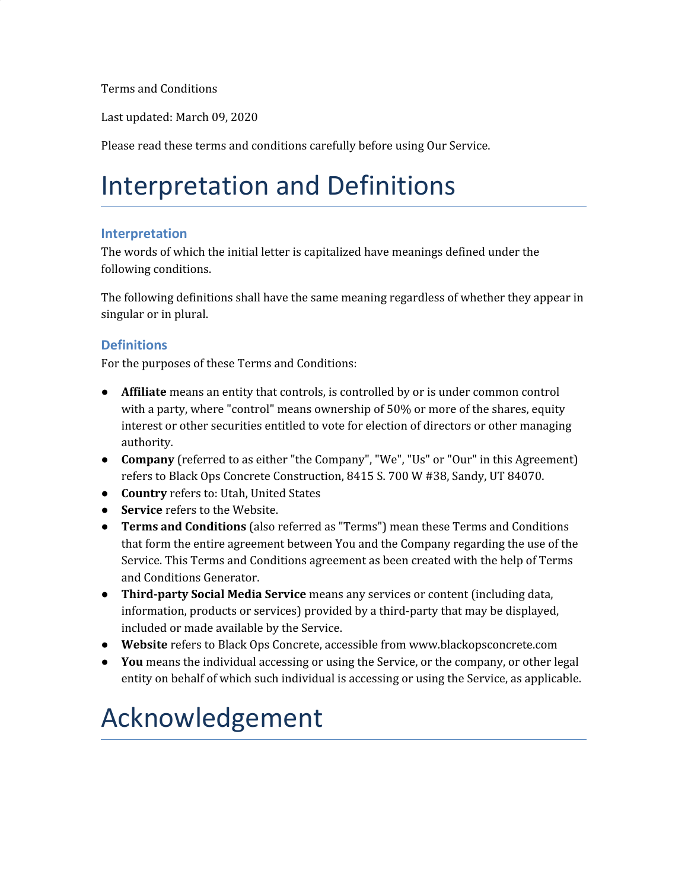Terms and Conditions

Last updated: March 09, 2020

Please read these terms and conditions carefully before using Our Service.

## Interpretation and Definitions

#### **Interpretation**

The words of which the initial letter is capitalized have meanings defined under the following conditions.

The following definitions shall have the same meaning regardless of whether they appear in singular or in plural.

#### **Definitions**

For the purposes of these Terms and Conditions:

- **Affiliate** means an entity that controls, is controlled by or is under common control with a party, where "control" means ownership of 50% or more of the shares, equity interest or other securities entitled to vote for election of directors or other managing authority.
- **Company** (referred to as either "the Company", "We", "Us" or "Our" in this Agreement) refers to Black Ops Concrete Construction, 8415 S. 700 W #38, Sandy, UT 84070.
- **Country** refers to: Utah, United States
- **Service** refers to the Website.
- **Terms and Conditions** (also referred as "Terms") mean these Terms and Conditions that form the entire agreement between You and the Company regarding the use of the Service. This Terms and Conditions agreement as been created with the help of [Terms](https://www.termsfeed.com/terms-conditions-generator/) and [Conditions](https://www.termsfeed.com/terms-conditions-generator/) Generator.
- **Third-party Social Media Service** means any services or content (including data, information, products or services) provided by a third-party that may be displayed, included or made available by the Service.
- **Website** refers to Black Ops Concrete, accessible from www.blackopsconcrete.com
- **You** means the individual accessing or using the Service, or the company, or other legal entity on behalf of which such individual is accessing or using the Service, as applicable.

#### Acknowledgement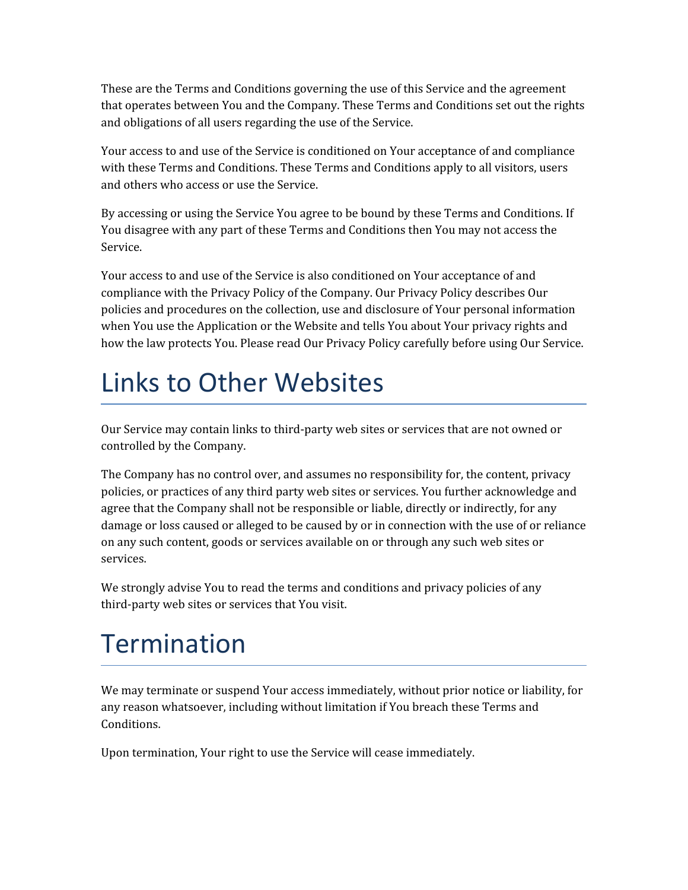These are the Terms and Conditions governing the use of this Service and the agreement that operates between You and the Company. These Terms and Conditions set out the rights and obligations of all users regarding the use of the Service.

Your access to and use of the Service is conditioned on Your acceptance of and compliance with these Terms and Conditions. These Terms and Conditions apply to all visitors, users and others who access or use the Service.

By accessing or using the Service You agree to be bound by these Terms and Conditions. If You disagree with any part of these Terms and Conditions then You may not access the Service.

Your access to and use of the Service is also conditioned on Your acceptance of and compliance with the Privacy Policy of the Company. Our Privacy Policy describes Our policies and procedures on the collection, use and disclosure of Your personal information when You use the Application or the Website and tells You about Your privacy rights and how the law protects You. Please read Our Privacy Policy carefully before using Our Service.

### Links to Other Websites

Our Service may contain links to third-party web sites or services that are not owned or controlled by the Company.

The Company has no control over, and assumes no responsibility for, the content, privacy policies, or practices of any third party web sites or services. You further acknowledge and agree that the Company shall not be responsible or liable, directly or indirectly, for any damage or loss caused or alleged to be caused by or in connection with the use of or reliance on any such content, goods or services available on or through any such web sites or services.

We strongly advise You to read the terms and conditions and privacy policies of any third-party web sites or services that You visit.

# Termination

We may terminate or suspend Your access immediately, without prior notice or liability, for any reason whatsoever, including without limitation if You breach these Terms and Conditions.

Upon termination, Your right to use the Service will cease immediately.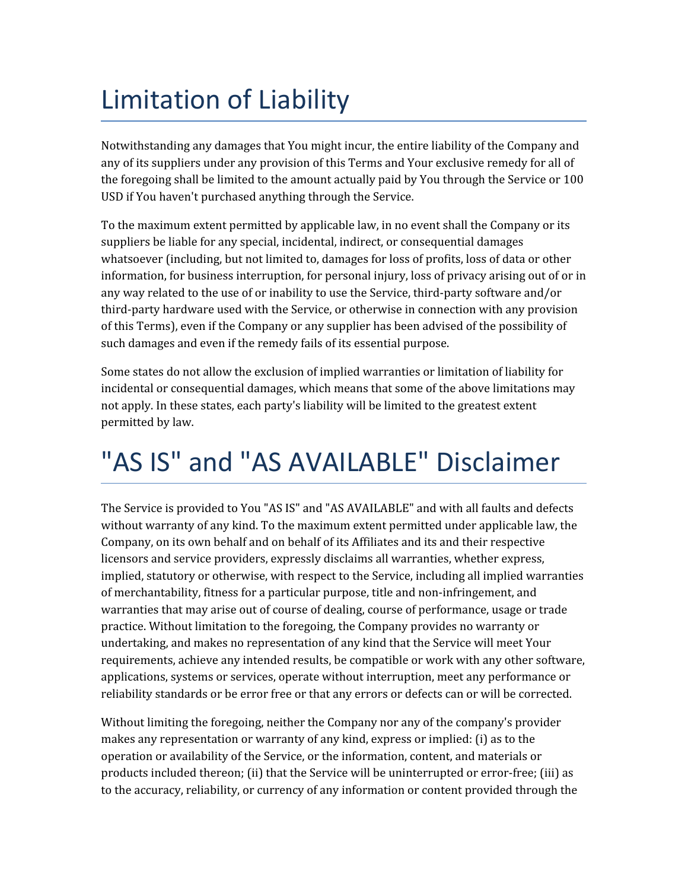# Limitation of Liability

Notwithstanding any damages that You might incur, the entire liability of the Company and any of its suppliers under any provision of this Terms and Your exclusive remedy for all of the foregoing shall be limited to the amount actually paid by You through the Service or 100 USD if You haven't purchased anything through the Service.

To the maximum extent permitted by applicable law, in no event shall the Company or its suppliers be liable for any special, incidental, indirect, or consequential damages whatsoever (including, but not limited to, damages for loss of profits, loss of data or other information, for business interruption, for personal injury, loss of privacy arising out of or in any way related to the use of or inability to use the Service, third-party software and/or third-party hardware used with the Service, or otherwise in connection with any provision of this Terms), even if the Company or any supplier has been advised of the possibility of such damages and even if the remedy fails of its essential purpose.

Some states do not allow the exclusion of implied warranties or limitation of liability for incidental or consequential damages, which means that some of the above limitations may not apply. In these states, each party's liability will be limited to the greatest extent permitted by law.

### "AS IS" and "AS AVAILABLE" Disclaimer

The Service is provided to You "AS IS" and "AS AVAILABLE" and with all faults and defects without warranty of any kind. To the maximum extent permitted under applicable law, the Company, on its own behalf and on behalf of its Affiliates and its and their respective licensors and service providers, expressly disclaims all warranties, whether express, implied, statutory or otherwise, with respect to the Service, including all implied warranties of merchantability, fitness for a particular purpose, title and non-infringement, and warranties that may arise out of course of dealing, course of performance, usage or trade practice. Without limitation to the foregoing, the Company provides no warranty or undertaking, and makes no representation of any kind that the Service will meet Your requirements, achieve any intended results, be compatible or work with any other software, applications, systems or services, operate without interruption, meet any performance or reliability standards or be error free or that any errors or defects can or will be corrected.

Without limiting the foregoing, neither the Company nor any of the company's provider makes any representation or warranty of any kind, express or implied: (i) as to the operation or availability of the Service, or the information, content, and materials or products included thereon; (ii) that the Service will be uninterrupted or error-free; (iii) as to the accuracy, reliability, or currency of any information or content provided through the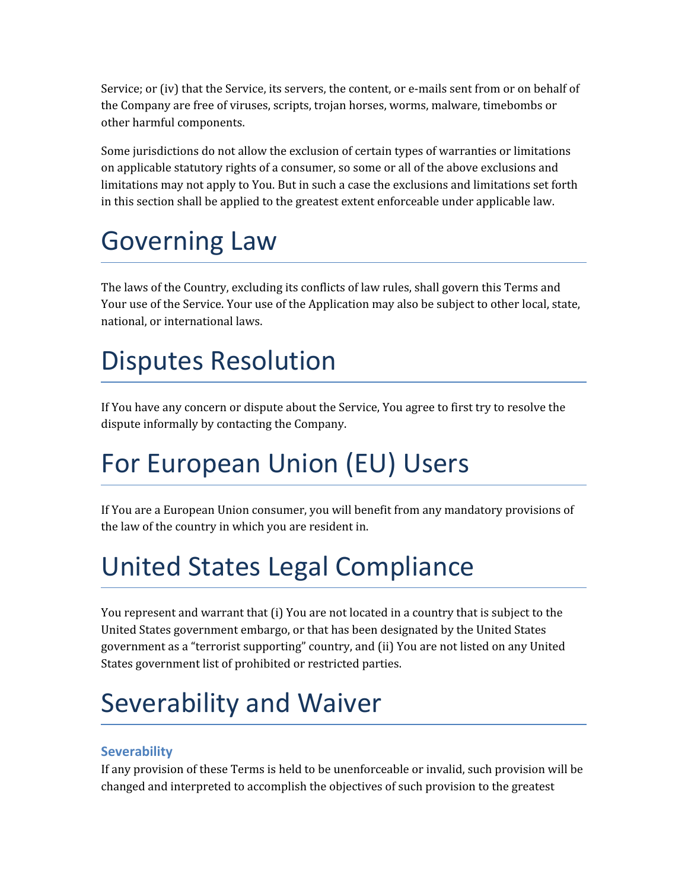Service; or (iv) that the Service, its servers, the content, or e-mails sent from or on behalf of the Company are free of viruses, scripts, trojan horses, worms, malware, timebombs or other harmful components.

Some jurisdictions do not allow the exclusion of certain types of warranties or limitations on applicable statutory rights of a consumer, so some or all of the above exclusions and limitations may not apply to You. But in such a case the exclusions and limitations set forth in this section shall be applied to the greatest extent enforceable under applicable law.

### Governing Law

The laws of the Country, excluding its conflicts of law rules, shall govern this Terms and Your use of the Service. Your use of the Application may also be subject to other local, state, national, or international laws.

## Disputes Resolution

If You have any concern or dispute about the Service, You agree to first try to resolve the dispute informally by contacting the Company.

# For European Union (EU) Users

If You are a European Union consumer, you will benefit from any mandatory provisions of the law of the country in which you are resident in.

# United States Legal Compliance

You represent and warrant that (i) You are not located in a country that is subject to the United States government embargo, or that has been designated by the United States government as a "terrorist supporting" country, and (ii) You are not listed on any United States government list of prohibited or restricted parties.

# Severability and Waiver

#### **Severability**

If any provision of these Terms is held to be unenforceable or invalid, such provision will be changed and interpreted to accomplish the objectives of such provision to the greatest